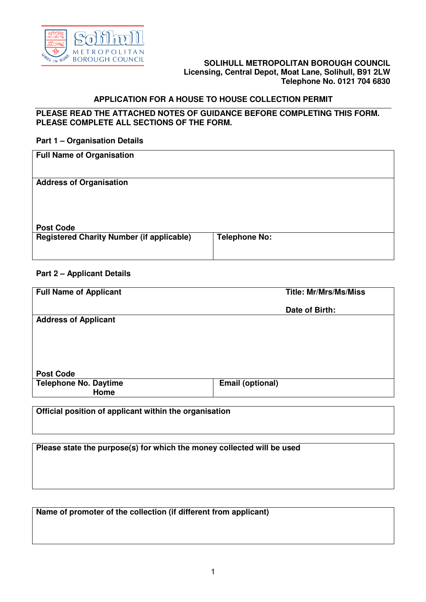

# **BOROUGH COUNCIL SOLIHULL METROPOLITAN BOROUGH COUNCIL Licensing, Central Depot, Moat Lane, Solihull, B91 2LW Telephone No. 0121 704 6830**

## **APPLICATION FOR A HOUSE TO HOUSE COLLECTION PERMIT**

### **PLEASE READ THE ATTACHED NOTES OF GUIDANCE BEFORE COMPLETING THIS FORM. PLEASE COMPLETE ALL SECTIONS OF THE FORM.**

#### **Part 1 – Organisation Details**

| <b>Full Name of Organisation</b>                 |                      |
|--------------------------------------------------|----------------------|
| <b>Address of Organisation</b>                   |                      |
|                                                  |                      |
|                                                  |                      |
|                                                  |                      |
| <b>Post Code</b>                                 |                      |
| <b>Registered Charity Number (if applicable)</b> | <b>Telephone No:</b> |
|                                                  |                      |
|                                                  |                      |

## **Part 2 – Applicant Details**

| <b>Full Name of Applicant</b> | <b>Title: Mr/Mrs/Ms/Miss</b> |  |
|-------------------------------|------------------------------|--|
|                               | Date of Birth:               |  |
| <b>Address of Applicant</b>   |                              |  |
|                               |                              |  |
|                               |                              |  |
|                               |                              |  |
| <b>Post Code</b>              |                              |  |
| <b>Telephone No. Daytime</b>  | <b>Email (optional)</b>      |  |
| Home                          |                              |  |
|                               |                              |  |

**Official position of applicant within the organisation**

**Please state the purpose(s) for which the money collected will be used**

**Name of promoter of the collection (if different from applicant)**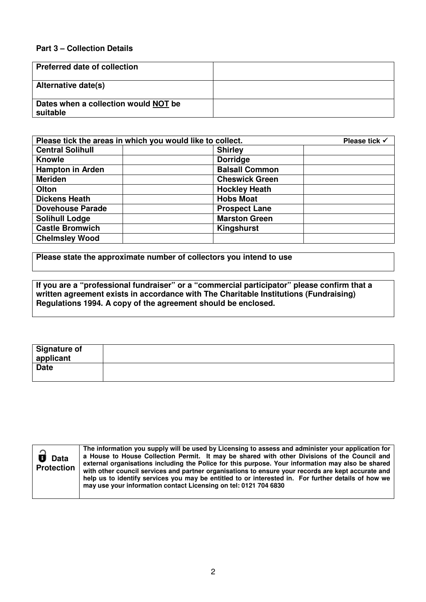## **Part 3 – Collection Details**

| <b>Preferred date of collection</b>              |  |
|--------------------------------------------------|--|
| Alternative date(s)                              |  |
| Dates when a collection would NOT be<br>suitable |  |

| Please tick the areas in which you would like to collect. |                       | Please tick √ |
|-----------------------------------------------------------|-----------------------|---------------|
| <b>Central Solihull</b>                                   | <b>Shirley</b>        |               |
| <b>Knowle</b>                                             | <b>Dorridge</b>       |               |
| <b>Hampton in Arden</b>                                   | <b>Balsall Common</b> |               |
| <b>Meriden</b>                                            | <b>Cheswick Green</b> |               |
| Olton                                                     | <b>Hockley Heath</b>  |               |
| <b>Dickens Heath</b>                                      | <b>Hobs Moat</b>      |               |
| <b>Dovehouse Parade</b>                                   | <b>Prospect Lane</b>  |               |
| <b>Solihull Lodge</b>                                     | <b>Marston Green</b>  |               |
| <b>Castle Bromwich</b>                                    | Kingshurst            |               |
| <b>Chelmsley Wood</b>                                     |                       |               |

**Please state the approximate number of collectors you intend to use**

**If you are a "professional fundraiser" or a "commercial participator" please confirm that a**  written agreement exists in accordance with The Charitable Institutions (Fundraising) **Regulations 1994. A copy of the agreement should be enclosed.** 

| Signature of<br>applicant |  |
|---------------------------|--|
| <b>Date</b>               |  |

| $\overrightarrow{U}$ Data<br><b>Protection</b> | The information you supply will be used by Licensing to assess and administer your application for<br>a House to House Collection Permit. It may be shared with other Divisions of the Council and<br>external organisations including the Police for this purpose. Your information may also be shared<br>with other council services and partner organisations to ensure your records are kept accurate and<br>help us to identify services you may be entitled to or interested in. For further details of how we<br>may use your information contact Licensing on tel: 0121 704 6830 |
|------------------------------------------------|------------------------------------------------------------------------------------------------------------------------------------------------------------------------------------------------------------------------------------------------------------------------------------------------------------------------------------------------------------------------------------------------------------------------------------------------------------------------------------------------------------------------------------------------------------------------------------------|